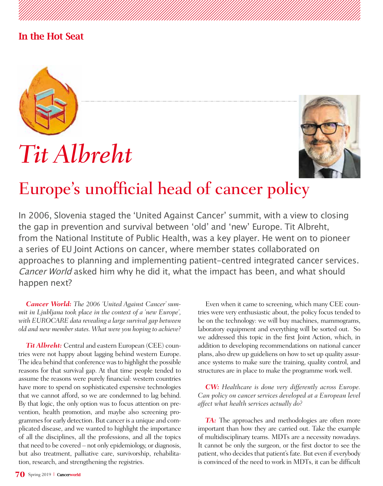### In the Hot Seat



# *Tit Albreht*



## Europe's unofficial head of cancer policy

In 2006, Slovenia staged the 'United Against Cancer' summit, with a view to closing the gap in prevention and survival between 'old' and 'new' Europe. Tit Albreht, from the National Institute of Public Health, was a key player. He went on to pioneer a series of EU Joint Actions on cancer, where member states collaborated on approaches to planning and implementing patient-centred integrated cancer services. Cancer World asked him why he did it, what the impact has been, and what should happen next?

*Cancer World: The 2006 'United Against Cancer' summit in Ljubljana took place in the context of a 'new Europe', with EUROCARE data revealing a large survival gap between old and new member states. What were you hoping to achieve?* 

*Tit Albreht:* Central and eastern European (CEE) countries were not happy about lagging behind western Europe. The idea behind that conference was to highlight the possible reasons for that survival gap. At that time people tended to assume the reasons were purely financial: western countries have more to spend on sophisticated expensive technologies that we cannot afford, so we are condemned to lag behind. By that logic, the only option was to focus attention on prevention, health promotion, and maybe also screening programmes for early detection. But cancer is a unique and complicated disease, and we wanted to highlight the importance of all the disciplines, all the professions, and all the topics that need to be covered – not only epidemiology, or diagnosis, but also treatment, palliative care, survivorship, rehabilitation, research, and strengthening the registries.

Even when it came to screening, which many CEE countries were very enthusiastic about, the policy focus tended to be on the technology: we will buy machines, mammograms, laboratory equipment and everything will be sorted out. So we addressed this topic in the first Joint Action, which, in addition to developing recommendations on national cancer plans, also drew up guideliens on how to set up quality assurance systems to make sure the training, quality control, and structures are in place to make the programme work well.

*CW: Healthcare is done very differently across Europe. Can policy on cancer services developed at a European level affect what health services actually do?*

*TA:* The approaches and methodologies are often more important than how they are carried out. Take the example of multidisciplinary teams. MDTs are a necessity nowadays. It cannot be only the surgeon, or the first doctor to see the patient, who decides that patient's fate. But even if everybody is convinced of the need to work in MDTs, it can be difficult